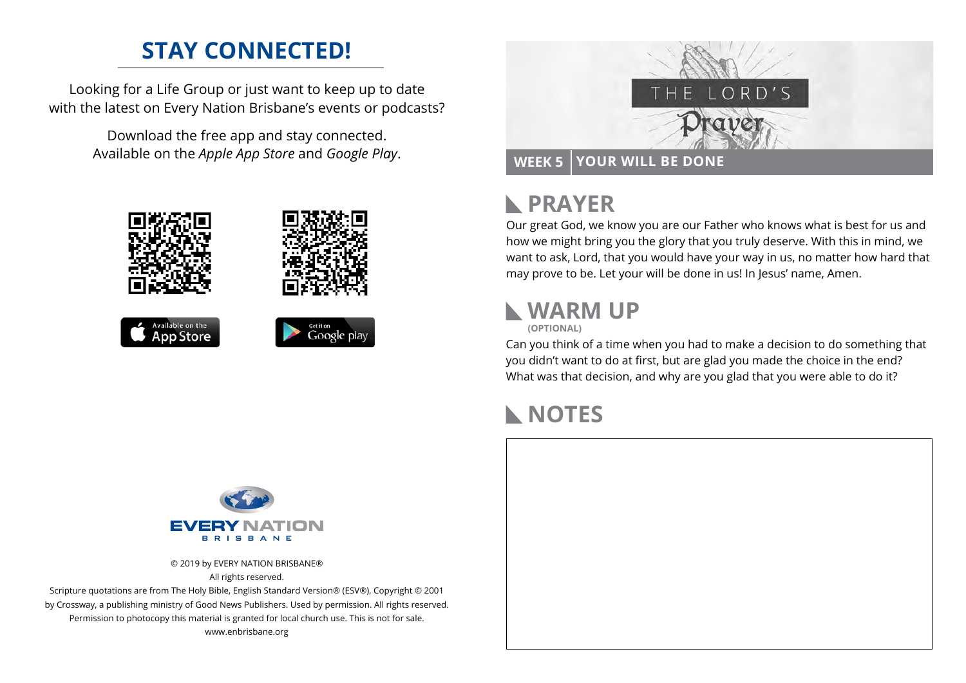## **STAY CONNECTED!**

Looking for a Life Group or just want to keep up to date with the latest on Every Nation Brisbane's events or podcasts?

> Download the free app and stay connected. Available on the *Apple App Store* and *Google Play*.





#### **PRAYER**  $\blacktriangleright$

Our great God, we know you are our Father who knows what is best for us and how we might bring you the glory that you truly deserve. With this in mind, we want to ask, Lord, that you would have your way in us, no matter how hard that may prove to be. Let your will be done in us! In Jesus' name, Amen.

#### **WARM UP**

**(OPTIONAL)**

Can you think of a time when you had to make a decision to do something that you didn't want to do at first, but are glad you made the choice in the end? What was that decision, and why are you glad that you were able to do it?

#### **NOTES**



© 2019 by EVERY NATION BRISBANE® All rights reserved.

Scripture quotations are from The Holy Bible, English Standard Version® (ESV®), Copyright © 2001 by Crossway, a publishing ministry of Good News Publishers. Used by permission. All rights reserved. Permission to photocopy this material is granted for local church use. This is not for sale. www.enbrisbane.org